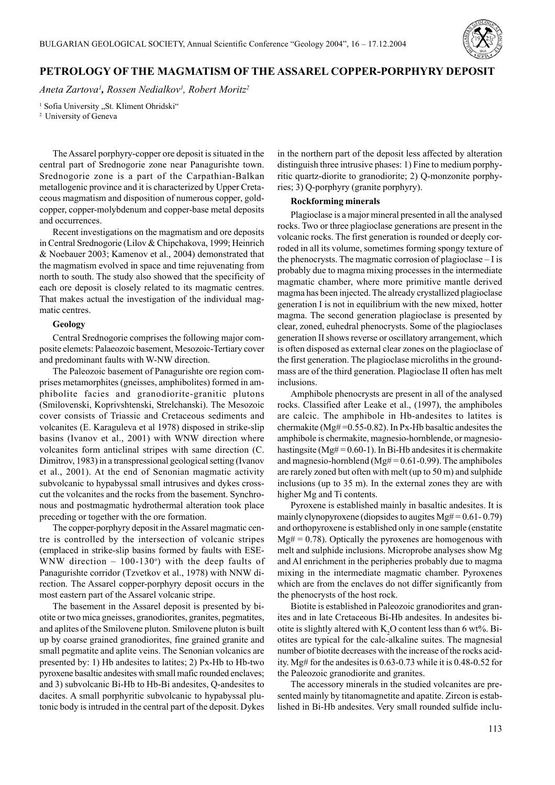

# **PETROLOGY OF THE MAGMATISM OF THE ASSAREL COPPER-PORPHYRY DEPOSIT**

*Aneta Zartova1 , Rossen Nedialkov1 , Robert Moritz2*

<sup>1</sup> Sofia University "St. Kliment Ohridski" <sup>2</sup> University of Geneva

The Assarel porphyry-copper ore deposit is situated in the central part of Srednogorie zone near Panagurishte town. Srednogorie zone is a part of the Carpathian-Balkan metallogenic province and it is characterized by Upper Cretaceous magmatism and disposition of numerous copper, goldcopper, copper-molybdenum and copper-base metal deposits and occurrences.

Recent investigations on the magmatism and ore deposits in Central Srednogorie (Lilov & Chipchakova, 1999; Heinrich & Noebauer 2003; Kamenov et al., 2004) demonstrated that the magmatism evolved in space and time rejuvenating from north to south. The study also showed that the specificity of each ore deposit is closely related to its magmatic centres. That makes actual the investigation of the individual magmatic centres.

## **Geology**

Central Srednogorie comprises the following major composite elemets: Palaeozoic basement, Mesozoic-Tertiary cover and predominant faults with W-NW direction.

The Paleozoic basement of Panagurishte ore region comprises metamorphites (gneisses, amphibolites) formed in amphibolite facies and granodiorite-granitic plutons (Smilovenski, Koprivshtenski, Strelchanski). The Mesozoic cover consists of Triassic and Cretaceous sediments and volcanites (E. Karaguleva et al 1978) disposed in strike-slip basins (Ivanov et al., 2001) with WNW direction where volcanites form anticlinal stripes with same direction (C. Dimitrov, 1983) in a transpressional geological setting (Ivanov et al., 2001). At the end of Senonian magmatic activity subvolcanic to hypabyssal small intrusives and dykes crosscut the volcanites and the rocks from the basement. Synchronous and postmagmatic hydrothermal alteration took place preceding or together with the ore formation.

The copper-porphyry deposit in the Assarel magmatic centre is controlled by the intersection of volcanic stripes (emplaced in strike-slip basins formed by faults with ESE-WNW direction  $-100-130^{\circ}$ ) with the deep faults of Panagurishte corridor (Tzvetkov et al., 1978) with NNW direction. The Assarel copper-porphyry deposit occurs in the most eastern part of the Assarel volcanic stripe.

The basement in the Assarel deposit is presented by biotite or two mica gneisses, granodiorites, granites, pegmatites, and aplites of the Smilovene pluton. Smilovene pluton is built up by coarse grained granodiorites, fine grained granite and small pegmatite and aplite veins. The Senonian volcanics are presented by: 1) Hb andesites to latites; 2) Px-Hb to Hb-two pyroxene basaltic andesites with small mafic rounded enclaves; and 3) subvolcanic Bi-Hb to Hb-Bi andesites, Q-andesites to dacites. A small porphyritic subvolcanic to hypabyssal plutonic body is intruded in the central part of the deposit. Dykes in the northern part of the deposit less affected by alteration distinguish three intrusive phases: 1) Fine to medium porphyritic quartz-diorite to granodiorite; 2) Q-monzonite porphyries; 3) Q-porphyry (granite porphyry).

### **Rockforming minerals**

Plagioclase is a major mineral presented in all the analysed rocks. Two or three plagioclase generations are present in the volcanic rocks. The first generation is rounded or deeply corroded in all its volume, sometimes forming spongy texture of the phenocrysts. The magmatic corrosion of plagioclase – I is probably due to magma mixing processes in the intermediate magmatic chamber, where more primitive mantle derived magma has been injected. The already crystallized plagioclase generation I is not in equilibrium with the new mixed, hotter magma. The second generation plagioclase is presented by clear, zoned, euhedral phenocrysts. Some of the plagioclases generation II shows reverse or oscillatory arrangement, which is often disposed as external clear zones on the plagioclase of the first generation. The plagioclase microliths in the groundmass are of the third generation. Plagioclase II often has melt inclusions.

Amphibole phenocrysts are present in all of the analysed rocks. Classified after Leake et al., (1997), the amphiboles are calcic. The amphibole in Hb-andesites to latites is chermakite (Mg# =0.55-0.82). In Px-Hb basaltic andesites the amphibole is chermakite, magnesio-hornblende, or magnesiohastingsite (Mg $# = 0.60-1$ ). In Bi-Hb andesites it is chermakite and magnesio-hornblend ( $Mg\# = 0.61-0.99$ ). The amphiboles are rarely zoned but often with melt (up to 50 m) and sulphide inclusions (up to 35 m). In the external zones they are with higher Mg and Ti contents.

Pyroxene is established mainly in basaltic andesites. It is mainly clynopyroxene (diopsides to augites  $Mg# = 0.61 - 0.79$ ) and orthopyroxene is established only in one sample (enstatite  $Mg# = 0.78$ ). Optically the pyroxenes are homogenous with melt and sulphide inclusions. Microprobe analyses show Mg and Al enrichment in the peripheries probably due to magma mixing in the intermediate magmatic chamber. Pyroxenes which are from the enclaves do not differ significantly from the phenocrysts of the host rock.

Biotite is established in Paleozoic granodiorites and granites and in late Cretaceous Bi-Hb andesites. In andesites biotite is slightly altered with  $K_2O$  content less than 6 wt%. Biotites are typical for the calc-alkaline suites. The magnesial number of biotite decreases with the increase of the rocks acidity. Mg# for the andesites is 0.63-0.73 while it is 0.48-0.52 for the Paleozoic granodiorite and granites.

The accessory minerals in the studied volcanites are presented mainly by titanomagnetite and apatite. Zircon is established in Bi-Hb andesites. Very small rounded sulfide inclu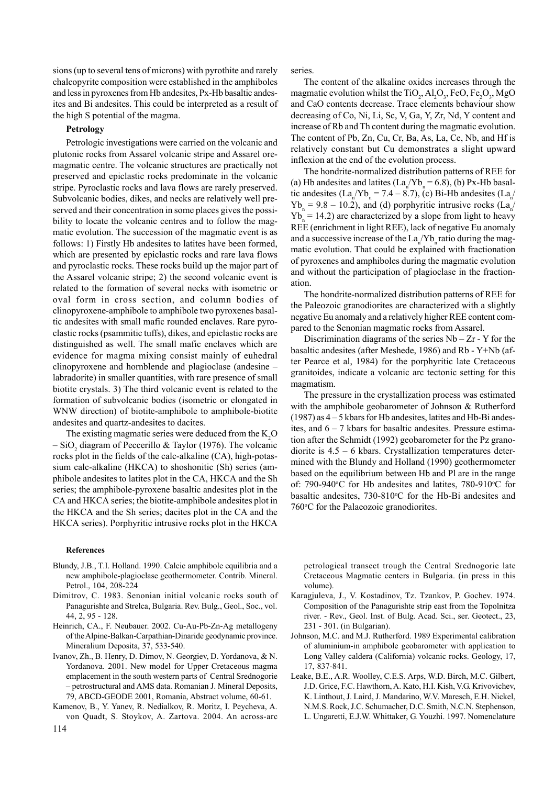sions (up to several tens of microns) with pyrothite and rarely chalcopyrite composition were established in the amphiboles and less in pyroxenes from Hb andesites, Px-Hb basaltic andesites and Bi andesites. This could be interpreted as a result of the high S potential of the magma.

#### **Petrology**

Petrologic investigations were carried on the volcanic and plutonic rocks from Assarel volcanic stripe and Assarel oremagmatic centre. The volcanic structures are practically not preserved and epiclastic rocks predominate in the volcanic stripe. Pyroclastic rocks and lava flows are rarely preserved. Subvolcanic bodies, dikes, and necks are relatively well preserved and their concentration in some places gives the possibility to locate the volcanic centres and to follow the magmatic evolution. The succession of the magmatic event is as follows: 1) Firstly Hb andesites to latites have been formed, which are presented by epiclastic rocks and rare lava flows and pyroclastic rocks. These rocks build up the major part of the Assarel volcanic stripe; 2) the second volcanic event is related to the formation of several necks with isometric or oval form in cross section, and column bodies of clinopyroxene-amphibole to amphibole two pyroxenes basaltic andesites with small mafic rounded enclaves. Rare pyroclastic rocks (psammitic tuffs), dikes, and epiclastic rocks are distinguished as well. The small mafic enclaves which are evidence for magma mixing consist mainly of euhedral clinopyroxene and hornblende and plagioclase (andesine – labradorite) in smaller quantities, with rare presence of small biotite crystals. 3) The third volcanic event is related to the formation of subvolcanic bodies (isometric or elongated in WNW direction) of biotite-amphibole to amphibole-biotite andesites and quartz-andesites to dacites.

The existing magmatic series were deduced from the  $K_2O$  $-$  SiO<sub>2</sub> diagram of Peccerillo & Taylor (1976). The volcanic rocks plot in the fields of the calc-alkaline (CA), high-potassium calc-alkaline (HKCA) to shoshonitic (Sh) series (amphibole andesites to latites plot in the CA, HKCA and the Sh series; the amphibole-pyroxene basaltic andesites plot in the CA and HKCA series; the biotite-amphibole andesites plot in the HKCA and the Sh series; dacites plot in the CA and the HKCA series). Porphyritic intrusive rocks plot in the HKCA

#### **References**

- Blundy, J.B., T.I. Holland. 1990. Calcic amphibole equilibria and a new amphibole-plagioclase geothermometer. Contrib. Mineral. Petrol., 104, 208-224
- Dimitrov, C. 1983. Senonian initial volcanic rocks south of Panagurishte and Strelca, Bulgaria. Rev. Bulg., Geol., Soc., vol. 44, 2, 95 - 128.
- Heinrich, CA., F. Neubauer. 2002. Cu-Au-Pb-Zn-Ag metallogeny of the Alpine-Balkan-Carpathian-Dinaride geodynamic province. Mineralium Deposita, 37, 533-540.
- Ivanov, Zh., B. Henry, D. Dimov, N. Georgiev, D. Yordanova, & N. Yordanova. 2001. New model for Upper Cretaceous magma emplacement in the south western parts of Central Srednogorie – petrostructural and AMS data. Romanian J. Mineral Deposits, 79, ABCD-GEODE 2001, Romania, Abstract volume, 60-61.
- 114 Kamenov, B., Y. Yanev, R. Nedialkov, R. Moritz, I. Peycheva, A. von Quadt, S. Stoykov, A. Zartova. 2004. An across-arc

series.

The content of the alkaline oxides increases through the magmatic evolution whilst the TiO<sub>2</sub>,  $\text{Al}_2\text{O}_3$ , FeO, Fe<sub>2</sub>O<sub>3</sub>, MgO and CaO contents decrease. Trace elements behaviour show decreasing of Co, Ni, Li, Sc, V, Ga, Y, Zr, Nd, Y content and increase of Rb and Th content during the magmatic evolution. The content of Pb, Zn, Cu, Cr, Ba, As, La, Ce, Nb, and Hf is relatively constant but Cu demonstrates a slight upward inflexion at the end of the evolution process.

The hondrite-normalized distribution patterns of REE for (a) Hb andesites and latites  $(La_n/Yb_n = 6.8)$ , (b) Px-Hb basaltic andesites  $(La_n/Yb_n = 7.4 - 8.7)$ , (c) Bi-Hb andesites  $(La_n/$  $Yb_n = 9.8 - 10.2$ ), and (d) porphyritic intrusive rocks (La<sub>n</sub><sup>1</sup>)  $Yb_n = 14.2$ ) are characterized by a slope from light to heavy REE (enrichment in light REE), lack of negative Eu anomaly and a successive increase of the  $La_n/Yb_n$  ratio during the magmatic evolution. That could be explained with fractionation of pyroxenes and amphiboles during the magmatic evolution and without the participation of plagioclase in the fractionation.

The hondrite-normalized distribution patterns of REE for the Paleozoic granodiorites are characterized with a slightly negative Eu anomaly and a relatively higher REE content compared to the Senonian magmatic rocks from Assarel.

Discrimination diagrams of the series  $Nb - Zr - Y$  for the basaltic andesites (after Meshede, 1986) and Rb - Y+Nb (after Pearce et al, 1984) for the porphyritic late Cretaceous granitoides, indicate a volcanic arc tectonic setting for this magmatism.

The pressure in the crystallization process was estimated with the amphibole geobarometer of Johnson & Rutherford (1987) as 4 – 5 kbars for Hb andesites, latites and Hb-Bi andesites, and  $6 - 7$  kbars for basaltic andesites. Pressure estimation after the Schmidt (1992) geobarometer for the Pz granodiorite is 4.5 – 6 kbars. Crystallization temperatures determined with the Blundy and Holland (1990) geothermometer based on the equilibrium between Hb and Pl are in the range of: 790-940°C for Hb andesites and latites, 780-910°C for basaltic andesites, 730-810°C for the Hb-Bi andesites and 760°C for the Palaeozoic granodiorites.

petrological transect trough the Central Srednogorie late Cretaceous Magmatic centers in Bulgaria. (in press in this volume).

- Karagjuleva, J., V. Kostadinov, Tz. Tzankov, P. Gochev. 1974. Composition of the Panagurishte strip east from the Topolnitza river. - Rev., Geol. Inst. of Bulg. Acad. Sci., ser. Geotect., 23, 231 - 301. (in Bulgarian).
- Johnson, M.C. and M.J. Rutherford. 1989 Experimental calibration of aluminium-in amphibole geobarometer with application to Long Valley caldera (California) volcanic rocks. Geology, 17, 17, 837-841.
- Leake, B.E., A.R. Woolley, C.E.S. Arps, W.D. Birch, M.C. Gilbert, J.D. Grice, F.C. Hawthorn, A. Kato, H.I. Kish, V.G. Krivovichev, K. Linthout, J. Laird, J. Mandarino, W.V. Maresch, E.H. Nickel, N.M.S. Rock, J.C. Schumacher, D.C. Smith, N.C.N. Stephenson, L. Ungaretti, E.J.W. Whittaker, G. Youzhi. 1997. Nomenclature